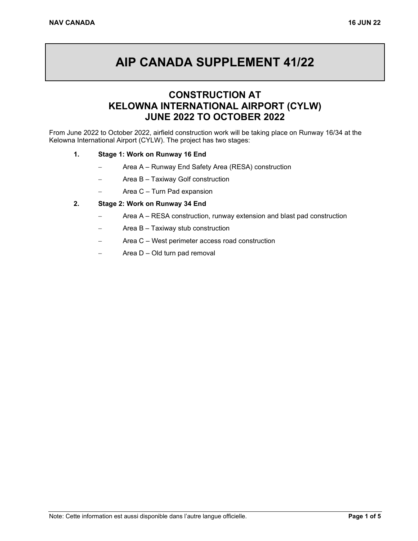# **AIP CANADA SUPPLEMENT 41/22**

# **CONSTRUCTION AT KELOWNA INTERNATIONAL AIRPORT (CYLW) JUNE 2022 TO OCTOBER 2022**

From June 2022 to October 2022, airfield construction work will be taking place on Runway 16/34 at the Kelowna International Airport (CYLW). The project has two stages:

#### **1. Stage 1: Work on Runway 16 End**

- Area A Runway End Safety Area (RESA) construction
- Area B Taxiway Golf construction
- − Area C Turn Pad expansion

#### **2. Stage 2: Work on Runway 34 End**

- Area A RESA construction, runway extension and blast pad construction
- Area B Taxiway stub construction
- − Area C West perimeter access road construction
- − Area D Old turn pad removal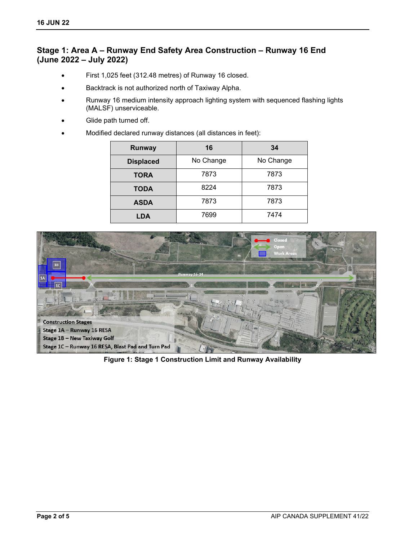## **Stage 1: Area A – Runway End Safety Area Construction – Runway 16 End (June 2022 – July 2022)**

- First 1,025 feet (312.48 metres) of Runway 16 closed.
- Backtrack is not authorized north of Taxiway Alpha.
- Runway 16 medium intensity approach lighting system with sequenced flashing lights (MALSF) unserviceable.
- Glide path turned off.
- Modified declared runway distances (all distances in feet):

| Runway           | 16        | 34        |
|------------------|-----------|-----------|
| <b>Displaced</b> | No Change | No Change |
| <b>TORA</b>      | 7873      | 7873      |
| <b>TODA</b>      | 8224      | 7873      |
| <b>ASDA</b>      | 7873      | 7873      |
| LDA              | 7699      | 7474      |



**Figure 1: Stage 1 Construction Limit and Runway Availability**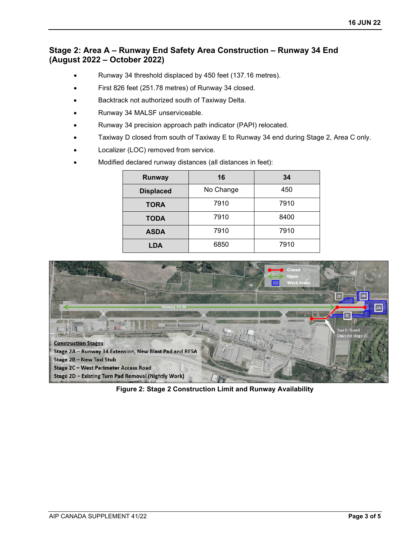## **Stage 2: Area A – Runway End Safety Area Construction – Runway 34 End (August 2022 – October 2022)**

- Runway 34 threshold displaced by 450 feet (137.16 metres).
- First 826 feet (251.78 metres) of Runway 34 closed.
- Backtrack not authorized south of Taxiway Delta.
- Runway 34 MALSF unserviceable.
- Runway 34 precision approach path indicator (PAPI) relocated.
- Taxiway D closed from south of Taxiway E to Runway 34 end during Stage 2, Area C only.
- Localizer (LOC) removed from service.
- Modified declared runway distances (all distances in feet):

| Runway           | 16        | 34   |
|------------------|-----------|------|
| <b>Displaced</b> | No Change | 450  |
| <b>TORA</b>      | 7910      | 7910 |
| <b>TODA</b>      | 7910      | 8400 |
| <b>ASDA</b>      | 7910      | 7910 |
| LDA              | 6850      | 7910 |



**Figure 2: Stage 2 Construction Limit and Runway Availability**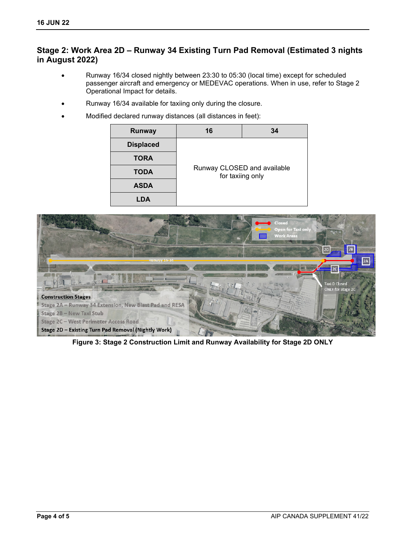## **Stage 2: Work Area 2D – Runway 34 Existing Turn Pad Removal (Estimated 3 nights in August 2022)**

- Runway 16/34 closed nightly between 23:30 to 05:30 (local time) except for scheduled passenger aircraft and emergency or MEDEVAC operations. When in use, refer to Stage 2 Operational Impact for details.
- Runway 16/34 available for taxiing only during the closure.
- Modified declared runway distances (all distances in feet):

| Runway           | 16                                              | 34 |  |
|------------------|-------------------------------------------------|----|--|
| <b>Displaced</b> |                                                 |    |  |
| <b>TORA</b>      |                                                 |    |  |
| <b>TODA</b>      | Runway CLOSED and available<br>for taxiing only |    |  |
| <b>ASDA</b>      |                                                 |    |  |
|                  |                                                 |    |  |



**Figure 3: Stage 2 Construction Limit and Runway Availability for Stage 2D ONLY**